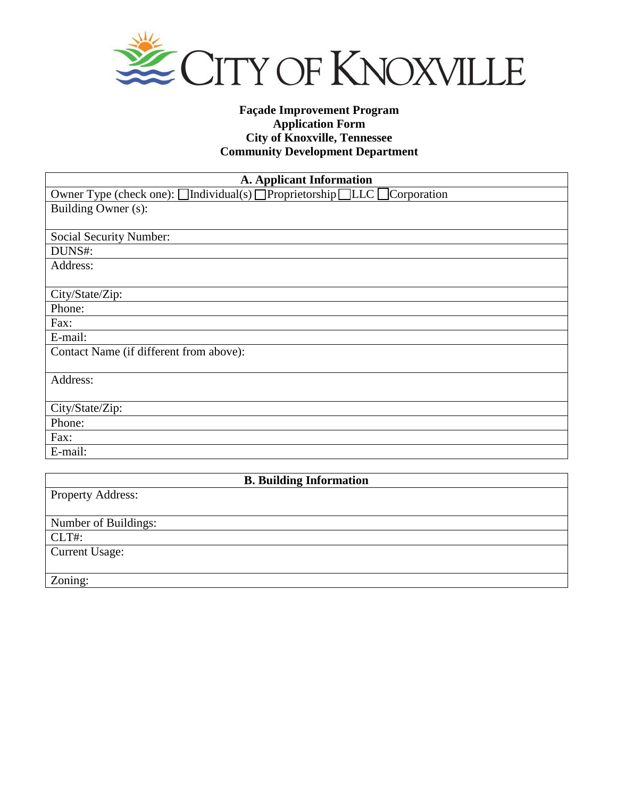

# **Façade Improvement Program Application Form City of Knoxville, Tennessee Community Development Department**

| <b>A. Applicant Information</b>                                         |  |  |  |
|-------------------------------------------------------------------------|--|--|--|
| Owner Type (check one): □Individual(s) □Proprietorship□LLC □Corporation |  |  |  |
| Building Owner (s):                                                     |  |  |  |
|                                                                         |  |  |  |
| <b>Social Security Number:</b>                                          |  |  |  |
| DUNS#:                                                                  |  |  |  |
| Address:                                                                |  |  |  |
|                                                                         |  |  |  |
| City/State/Zip:                                                         |  |  |  |
| Phone:                                                                  |  |  |  |
| Fax:                                                                    |  |  |  |
| E-mail:                                                                 |  |  |  |
| Contact Name (if different from above):                                 |  |  |  |
|                                                                         |  |  |  |
| Address:                                                                |  |  |  |
|                                                                         |  |  |  |
| City/State/Zip:                                                         |  |  |  |
| Phone:                                                                  |  |  |  |
| Fax:                                                                    |  |  |  |
| E-mail:                                                                 |  |  |  |
|                                                                         |  |  |  |
| <b>B. Building Information</b>                                          |  |  |  |
| <b>Property Address:</b>                                                |  |  |  |
|                                                                         |  |  |  |
| Number of Buildings:                                                    |  |  |  |
| CLT#:                                                                   |  |  |  |
| <b>Current Usage:</b>                                                   |  |  |  |

Zoning: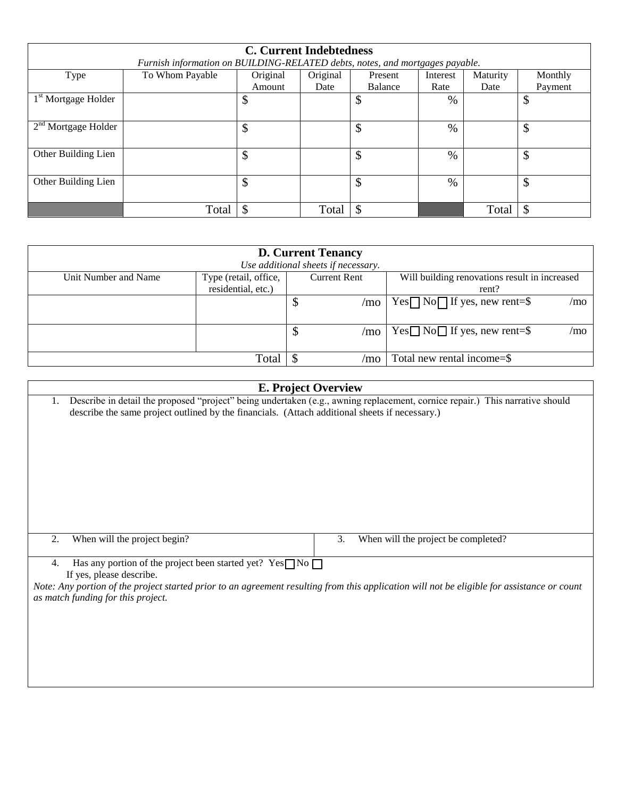| <b>C. Current Indebtedness</b>                                               |                 |          |          |         |               |          |         |
|------------------------------------------------------------------------------|-----------------|----------|----------|---------|---------------|----------|---------|
| Furnish information on BUILDING-RELATED debts, notes, and mortgages payable. |                 |          |          |         |               |          |         |
| Type                                                                         | To Whom Payable | Original | Original | Present | Interest      | Maturity | Monthly |
|                                                                              |                 | Amount   | Date     | Balance | Rate          | Date     | Payment |
| 1 <sup>st</sup> Mortgage Holder                                              |                 | Φ        |          | \$      | $\%$          |          | \$      |
|                                                                              |                 |          |          |         |               |          |         |
| $2nd$ Mortgage Holder                                                        |                 | ¢<br>Φ   |          | \$      | $\%$          |          | \$      |
|                                                                              |                 |          |          |         |               |          |         |
| Other Building Lien                                                          |                 | \$       |          | \$      | $\%$          |          | \$      |
|                                                                              |                 |          |          |         |               |          |         |
| Other Building Lien                                                          |                 | \$       |          | \$      | $\frac{0}{0}$ |          | \$      |
|                                                                              |                 |          |          |         |               |          |         |
|                                                                              | Total           | ¢        | Total    | \$      |               | Total    | \$      |

| <b>D. Current Tenancy</b><br>Use additional sheets if necessary.    |       |                            |                     |                                                        |  |
|---------------------------------------------------------------------|-------|----------------------------|---------------------|--------------------------------------------------------|--|
| Type (retail, office,<br>Unit Number and Name<br>residential, etc.) |       |                            | <b>Current Rent</b> | Will building renovations result in increased<br>rent? |  |
|                                                                     |       | \$                         | /mo                 | $Yes \Box No \Box If yes, new rent = $$<br>/mo         |  |
|                                                                     |       | $\boldsymbol{\mathcal{S}}$ | /mo                 | $Yes \Box No \Box$ If yes, new rent=\$<br>/mo          |  |
|                                                                     | Total |                            | /mo                 | Total new rental income=\$                             |  |

| <b>E. Project Overview</b>                                                                                                                                                        |                                                                                                                                                                                                                                |  |  |  |
|-----------------------------------------------------------------------------------------------------------------------------------------------------------------------------------|--------------------------------------------------------------------------------------------------------------------------------------------------------------------------------------------------------------------------------|--|--|--|
| 1.                                                                                                                                                                                | Describe in detail the proposed "project" being undertaken (e.g., awning replacement, cornice repair.) This narrative should<br>describe the same project outlined by the financials. (Attach additional sheets if necessary.) |  |  |  |
|                                                                                                                                                                                   |                                                                                                                                                                                                                                |  |  |  |
|                                                                                                                                                                                   |                                                                                                                                                                                                                                |  |  |  |
|                                                                                                                                                                                   |                                                                                                                                                                                                                                |  |  |  |
|                                                                                                                                                                                   |                                                                                                                                                                                                                                |  |  |  |
|                                                                                                                                                                                   |                                                                                                                                                                                                                                |  |  |  |
| 2.                                                                                                                                                                                | When will the project begin?<br>3.<br>When will the project be completed?                                                                                                                                                      |  |  |  |
| 4.                                                                                                                                                                                | Has any portion of the project been started yet? Yes $\Box$ No $\Box$<br>If yes, please describe.                                                                                                                              |  |  |  |
| Note: Any portion of the project started prior to an agreement resulting from this application will not be eligible for assistance or count<br>as match funding for this project. |                                                                                                                                                                                                                                |  |  |  |
|                                                                                                                                                                                   |                                                                                                                                                                                                                                |  |  |  |
|                                                                                                                                                                                   |                                                                                                                                                                                                                                |  |  |  |
|                                                                                                                                                                                   |                                                                                                                                                                                                                                |  |  |  |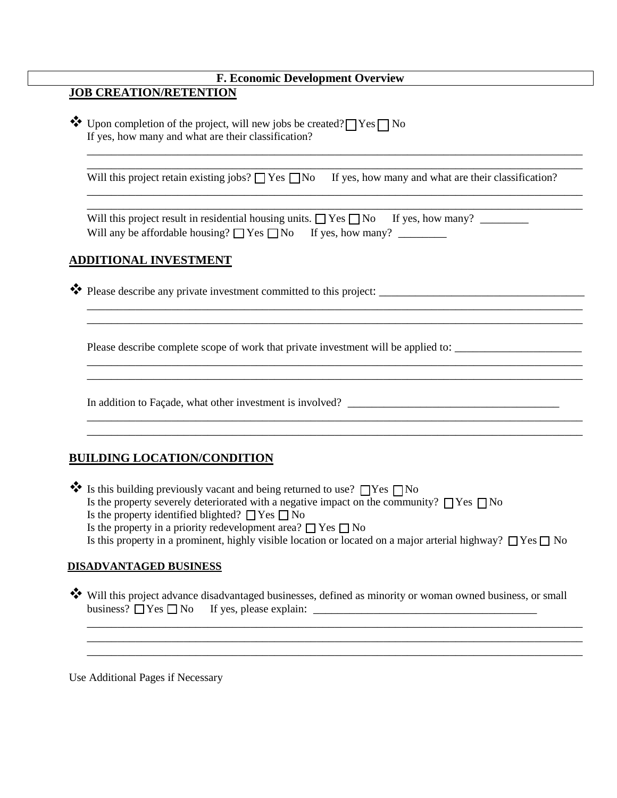# **F. Economic Development Overview**

# **JOB CREATION/RETENTION**

 $\bullet \bullet$  Upon completion of the project, will new jobs be created?  $\Box$  Yes  $\Box$  No If yes, how many and what are their classification?

Will this project retain existing jobs?  $\Box$  Yes  $\Box$  No If yes, how many and what are their classification?

\_\_\_\_\_\_\_\_\_\_\_\_\_\_\_\_\_\_\_\_\_\_\_\_\_\_\_\_\_\_\_\_\_\_\_\_\_\_\_\_\_\_\_\_\_\_\_\_\_\_\_\_\_\_\_\_\_\_\_\_\_\_\_\_\_\_\_\_\_\_\_\_\_\_\_\_\_\_\_\_\_\_ \_\_\_\_\_\_\_\_\_\_\_\_\_\_\_\_\_\_\_\_\_\_\_\_\_\_\_\_\_\_\_\_\_\_\_\_\_\_\_\_\_\_\_\_\_\_\_\_\_\_\_\_\_\_\_\_\_\_\_\_\_\_\_\_\_\_\_\_\_\_\_\_\_\_\_\_\_\_\_\_\_\_

\_\_\_\_\_\_\_\_\_\_\_\_\_\_\_\_\_\_\_\_\_\_\_\_\_\_\_\_\_\_\_\_\_\_\_\_\_\_\_\_\_\_\_\_\_\_\_\_\_\_\_\_\_\_\_\_\_\_\_\_\_\_\_\_\_\_\_\_\_\_\_\_\_\_\_\_\_\_\_\_\_\_ \_\_\_\_\_\_\_\_\_\_\_\_\_\_\_\_\_\_\_\_\_\_\_\_\_\_\_\_\_\_\_\_\_\_\_\_\_\_\_\_\_\_\_\_\_\_\_\_\_\_\_\_\_\_\_\_\_\_\_\_\_\_\_\_\_\_\_\_\_\_\_\_\_\_\_\_\_\_\_\_\_\_

\_\_\_\_\_\_\_\_\_\_\_\_\_\_\_\_\_\_\_\_\_\_\_\_\_\_\_\_\_\_\_\_\_\_\_\_\_\_\_\_\_\_\_\_\_\_\_\_\_\_\_\_\_\_\_\_\_\_\_\_\_\_\_\_\_\_\_\_\_\_\_\_\_\_\_\_\_\_\_\_\_\_

\_\_\_\_\_\_\_\_\_\_\_\_\_\_\_\_\_\_\_\_\_\_\_\_\_\_\_\_\_\_\_\_\_\_\_\_\_\_\_\_\_\_\_\_\_\_\_\_\_\_\_\_\_\_\_\_\_\_\_\_\_\_\_\_\_\_\_\_\_\_\_\_\_\_\_\_\_\_\_\_\_\_ \_\_\_\_\_\_\_\_\_\_\_\_\_\_\_\_\_\_\_\_\_\_\_\_\_\_\_\_\_\_\_\_\_\_\_\_\_\_\_\_\_\_\_\_\_\_\_\_\_\_\_\_\_\_\_\_\_\_\_\_\_\_\_\_\_\_\_\_\_\_\_\_\_\_\_\_\_\_\_\_\_\_

\_\_\_\_\_\_\_\_\_\_\_\_\_\_\_\_\_\_\_\_\_\_\_\_\_\_\_\_\_\_\_\_\_\_\_\_\_\_\_\_\_\_\_\_\_\_\_\_\_\_\_\_\_\_\_\_\_\_\_\_\_\_\_\_\_\_\_\_\_\_\_\_\_\_\_\_\_\_\_\_\_\_ \_\_\_\_\_\_\_\_\_\_\_\_\_\_\_\_\_\_\_\_\_\_\_\_\_\_\_\_\_\_\_\_\_\_\_\_\_\_\_\_\_\_\_\_\_\_\_\_\_\_\_\_\_\_\_\_\_\_\_\_\_\_\_\_\_\_\_\_\_\_\_\_\_\_\_\_\_\_\_\_\_\_

Will this project result in residential housing units.  $\Box$  Yes  $\Box$  No If yes, how many? Will any be affordable housing? Yes No If yes, how many? \_\_\_\_\_\_\_\_

## **ADDITIONAL INVESTMENT**

 $\clubsuit$  Please describe any private investment committed to this project:

Please describe complete scope of work that private investment will be applied to: \_\_\_\_\_\_\_\_\_\_\_\_\_\_\_\_\_\_\_\_\_

In addition to Façade, what other investment is involved? \_\_\_\_\_\_\_\_\_\_\_\_\_\_\_\_\_\_\_\_\_\_\_\_\_\_\_\_\_\_\_\_\_\_\_

## **BUILDING LOCATION/CONDITION**

Is this building previously vacant and being returned to use?  $\Box$  Yes  $\Box$  No Is the property severely deteriorated with a negative impact on the community?  $\Box$  Yes  $\Box$  No Is the property identified blighted?  $\Box$  Yes  $\Box$  No Is the property in a priority redevelopment area?  $\Box$  Yes  $\Box$  No Is this property in a prominent, highly visible location or located on a major arterial highway?  $\Box$  Yes  $\Box$  No

### **DISADVANTAGED BUSINESS**

Will this project advance disadvantaged businesses, defined as minority or woman owned business, or small business?  $\Box$  Yes  $\Box$  No If yes, please explain:

\_\_\_\_\_\_\_\_\_\_\_\_\_\_\_\_\_\_\_\_\_\_\_\_\_\_\_\_\_\_\_\_\_\_\_\_\_\_\_\_\_\_\_\_\_\_\_\_\_\_\_\_\_\_\_\_\_\_\_\_\_\_\_\_\_\_\_\_\_\_\_\_\_\_\_\_\_\_\_\_\_\_ \_\_\_\_\_\_\_\_\_\_\_\_\_\_\_\_\_\_\_\_\_\_\_\_\_\_\_\_\_\_\_\_\_\_\_\_\_\_\_\_\_\_\_\_\_\_\_\_\_\_\_\_\_\_\_\_\_\_\_\_\_\_\_\_\_\_\_\_\_\_\_\_\_\_\_\_\_\_\_\_\_\_ \_\_\_\_\_\_\_\_\_\_\_\_\_\_\_\_\_\_\_\_\_\_\_\_\_\_\_\_\_\_\_\_\_\_\_\_\_\_\_\_\_\_\_\_\_\_\_\_\_\_\_\_\_\_\_\_\_\_\_\_\_\_\_\_\_\_\_\_\_\_\_\_\_\_\_\_\_\_\_\_\_\_

Use Additional Pages if Necessary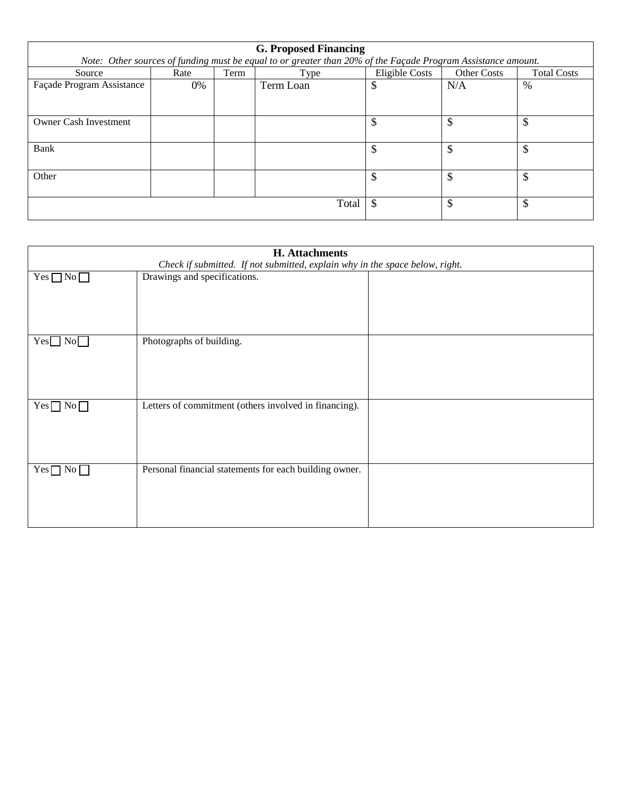| <b>G. Proposed Financing</b>                                                                                 |       |              |           |                |                    |                    |
|--------------------------------------------------------------------------------------------------------------|-------|--------------|-----------|----------------|--------------------|--------------------|
| Note: Other sources of funding must be equal to or greater than 20% of the Façade Program Assistance amount. |       |              |           |                |                    |                    |
| Source                                                                                                       | Rate  | Term         | Type      | Eligible Costs | <b>Other Costs</b> | <b>Total Costs</b> |
| Façade Program Assistance                                                                                    | $0\%$ |              | Term Loan | \$             | N/A                | %                  |
|                                                                                                              |       |              |           |                |                    |                    |
|                                                                                                              |       |              |           |                |                    |                    |
| <b>Owner Cash Investment</b>                                                                                 |       |              |           | \$             | \$                 | \$                 |
|                                                                                                              |       |              |           |                |                    |                    |
| Bank                                                                                                         |       |              |           | \$             | \$                 | \$                 |
|                                                                                                              |       |              |           |                |                    |                    |
| Other                                                                                                        |       |              |           | \$             | \$                 | \$                 |
|                                                                                                              |       |              |           |                |                    |                    |
|                                                                                                              | \$    | $\mathbb{S}$ | \$        |                |                    |                    |
|                                                                                                              |       |              | Total     |                |                    |                    |

| <b>H.</b> Attachments                                                        |                                                        |  |  |  |
|------------------------------------------------------------------------------|--------------------------------------------------------|--|--|--|
| Check if submitted. If not submitted, explain why in the space below, right. |                                                        |  |  |  |
| $Yes \Box No \Box$                                                           | Drawings and specifications.                           |  |  |  |
|                                                                              |                                                        |  |  |  |
|                                                                              |                                                        |  |  |  |
|                                                                              |                                                        |  |  |  |
|                                                                              |                                                        |  |  |  |
| $Yes \Box No \Box$                                                           | Photographs of building.                               |  |  |  |
|                                                                              |                                                        |  |  |  |
|                                                                              |                                                        |  |  |  |
|                                                                              |                                                        |  |  |  |
|                                                                              |                                                        |  |  |  |
| $Yes \Box$<br>$\rm No$                                                       | Letters of commitment (others involved in financing).  |  |  |  |
|                                                                              |                                                        |  |  |  |
|                                                                              |                                                        |  |  |  |
|                                                                              |                                                        |  |  |  |
|                                                                              |                                                        |  |  |  |
| $Yes \Box No$                                                                | Personal financial statements for each building owner. |  |  |  |
|                                                                              |                                                        |  |  |  |
|                                                                              |                                                        |  |  |  |
|                                                                              |                                                        |  |  |  |
|                                                                              |                                                        |  |  |  |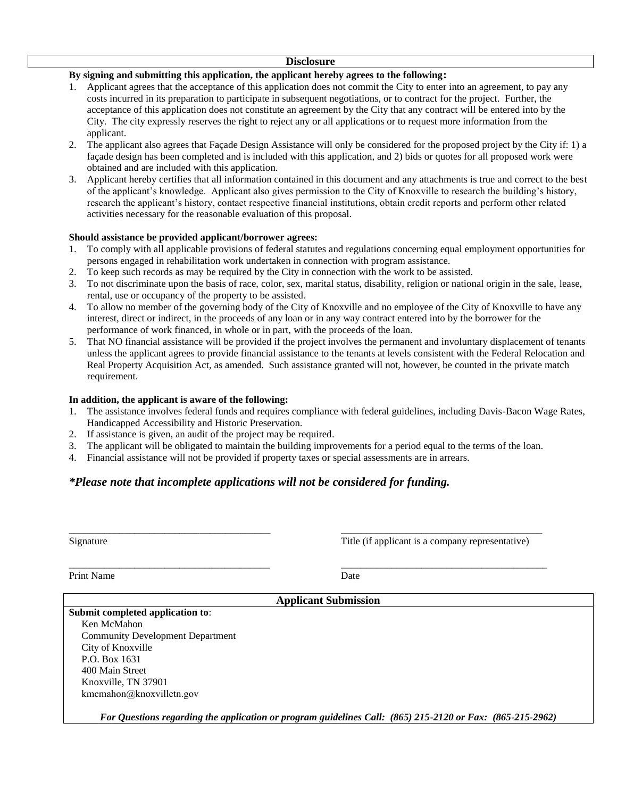#### **Disclosure**

### **By signing and submitting this application, the applicant hereby agrees to the following:**

- 1. Applicant agrees that the acceptance of this application does not commit the City to enter into an agreement, to pay any costs incurred in its preparation to participate in subsequent negotiations, or to contract for the project. Further, the acceptance of this application does not constitute an agreement by the City that any contract will be entered into by the City. The city expressly reserves the right to reject any or all applications or to request more information from the applicant.
- 2. The applicant also agrees that Façade Design Assistance will only be considered for the proposed project by the City if: 1) a façade design has been completed and is included with this application, and 2) bids or quotes for all proposed work were obtained and are included with this application.
- 3. Applicant hereby certifies that all information contained in this document and any attachments is true and correct to the best of the applicant's knowledge. Applicant also gives permission to the City of Knoxville to research the building's history, research the applicant's history, contact respective financial institutions, obtain credit reports and perform other related activities necessary for the reasonable evaluation of this proposal.

#### **Should assistance be provided applicant/borrower agrees:**

- 1. To comply with all applicable provisions of federal statutes and regulations concerning equal employment opportunities for persons engaged in rehabilitation work undertaken in connection with program assistance.
- 2. To keep such records as may be required by the City in connection with the work to be assisted.
- 3. To not discriminate upon the basis of race, color, sex, marital status, disability, religion or national origin in the sale, lease, rental, use or occupancy of the property to be assisted.
- 4. To allow no member of the governing body of the City of Knoxville and no employee of the City of Knoxville to have any interest, direct or indirect, in the proceeds of any loan or in any way contract entered into by the borrower for the performance of work financed, in whole or in part, with the proceeds of the loan.
- 5. That NO financial assistance will be provided if the project involves the permanent and involuntary displacement of tenants unless the applicant agrees to provide financial assistance to the tenants at levels consistent with the Federal Relocation and Real Property Acquisition Act, as amended. Such assistance granted will not, however, be counted in the private match requirement.

#### **In addition, the applicant is aware of the following:**

- 1. The assistance involves federal funds and requires compliance with federal guidelines, including Davis-Bacon Wage Rates, Handicapped Accessibility and Historic Preservation.
- 2. If assistance is given, an audit of the project may be required.
- 3. The applicant will be obligated to maintain the building improvements for a period equal to the terms of the loan.
- 4. Financial assistance will not be provided if property taxes or special assessments are in arrears.

## *\*Please note that incomplete applications will not be considered for funding.*

| Signature |  |
|-----------|--|
|           |  |

\_\_\_\_\_\_\_\_\_\_\_\_\_\_\_\_\_\_\_\_\_\_\_\_\_\_\_\_\_\_\_\_\_\_\_\_\_\_\_\_ \_\_\_\_\_\_\_\_\_\_\_\_\_\_\_\_\_\_\_\_\_\_\_\_\_\_\_\_\_\_\_\_\_\_\_\_\_\_\_\_ Title (if applicant is a company representative)

Print Name Date

\_\_\_\_\_\_\_\_\_\_\_\_\_\_\_\_\_\_\_\_\_\_\_\_\_\_\_\_\_\_\_\_\_\_\_\_\_\_\_\_ \_\_\_\_\_\_\_\_\_\_\_\_\_\_\_\_\_\_\_\_\_\_\_\_\_\_\_\_\_\_\_\_\_\_\_\_\_\_\_\_\_

**Applicant Submission**

### **Submit completed application to**: Ken McMahon

Community Development Department City of Knoxville P.O. Box 1631 400 Main Street Knoxville, TN 37901 kmcmahon@knoxvilletn.gov

*For Questions regarding the application or program guidelines Call: (865) 215-2120 or Fax: (865-215-2962)*